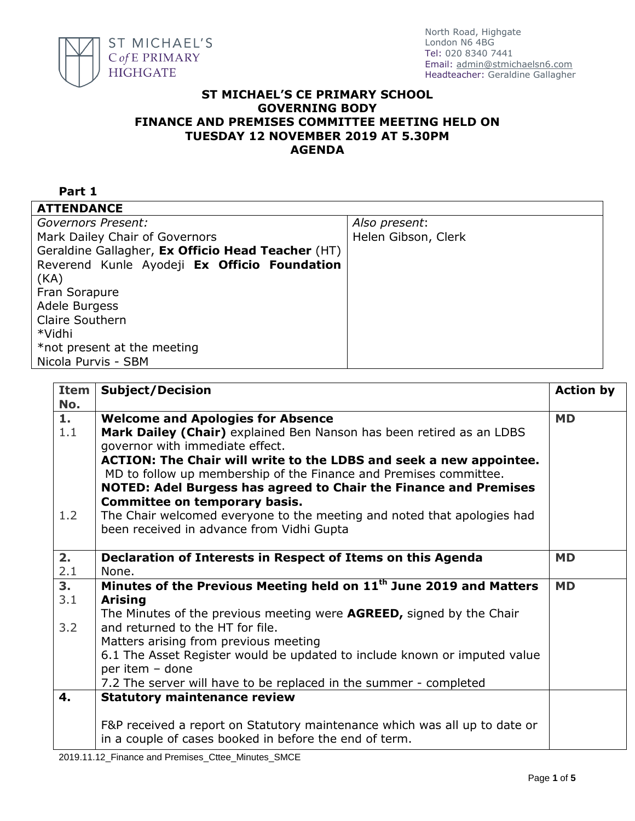

## **ST MICHAEL'S CE PRIMARY SCHOOL GOVERNING BODY FINANCE AND PREMISES COMMITTEE MEETING HELD ON TUESDAY 12 NOVEMBER 2019 AT 5.30PM AGENDA**

| Part 1                                            |                     |
|---------------------------------------------------|---------------------|
| <b>ATTENDANCE</b>                                 |                     |
| <b>Governors Present:</b>                         | Also present:       |
| Mark Dailey Chair of Governors                    | Helen Gibson, Clerk |
| Geraldine Gallagher, Ex Officio Head Teacher (HT) |                     |
| Reverend Kunle Ayodeji Ex Officio Foundation      |                     |
| (KA)                                              |                     |
| Fran Sorapure                                     |                     |
| Adele Burgess                                     |                     |
| Claire Southern                                   |                     |
| *Vidhi                                            |                     |
| *not present at the meeting                       |                     |
| Nicola Purvis - SBM                               |                     |

| <b>Item</b><br>No. | <b>Subject/Decision</b>                                                        | <b>Action by</b> |
|--------------------|--------------------------------------------------------------------------------|------------------|
| 1.                 | <b>Welcome and Apologies for Absence</b>                                       | <b>MD</b>        |
| 1.1                | Mark Dailey (Chair) explained Ben Nanson has been retired as an LDBS           |                  |
|                    | governor with immediate effect.                                                |                  |
|                    | ACTION: The Chair will write to the LDBS and seek a new appointee.             |                  |
|                    | MD to follow up membership of the Finance and Premises committee.              |                  |
|                    | NOTED: Adel Burgess has agreed to Chair the Finance and Premises               |                  |
|                    | <b>Committee on temporary basis.</b>                                           |                  |
| 1.2                | The Chair welcomed everyone to the meeting and noted that apologies had        |                  |
|                    | been received in advance from Vidhi Gupta                                      |                  |
| 2.                 | Declaration of Interests in Respect of Items on this Agenda                    | <b>MD</b>        |
| 2.1                | None.                                                                          |                  |
| 3.                 | Minutes of the Previous Meeting held on 11 <sup>th</sup> June 2019 and Matters | <b>MD</b>        |
| 3.1                | <b>Arising</b>                                                                 |                  |
|                    | The Minutes of the previous meeting were <b>AGREED</b> , signed by the Chair   |                  |
| 3.2                | and returned to the HT for file.                                               |                  |
|                    | Matters arising from previous meeting                                          |                  |
|                    | 6.1 The Asset Register would be updated to include known or imputed value      |                  |
|                    | per item - done                                                                |                  |
|                    | 7.2 The server will have to be replaced in the summer - completed              |                  |
| 4.                 | <b>Statutory maintenance review</b>                                            |                  |
|                    | F&P received a report on Statutory maintenance which was all up to date or     |                  |
|                    | in a couple of cases booked in before the end of term.                         |                  |
|                    |                                                                                |                  |

2019.11.12\_Finance and Premises\_Cttee\_Minutes\_SMCE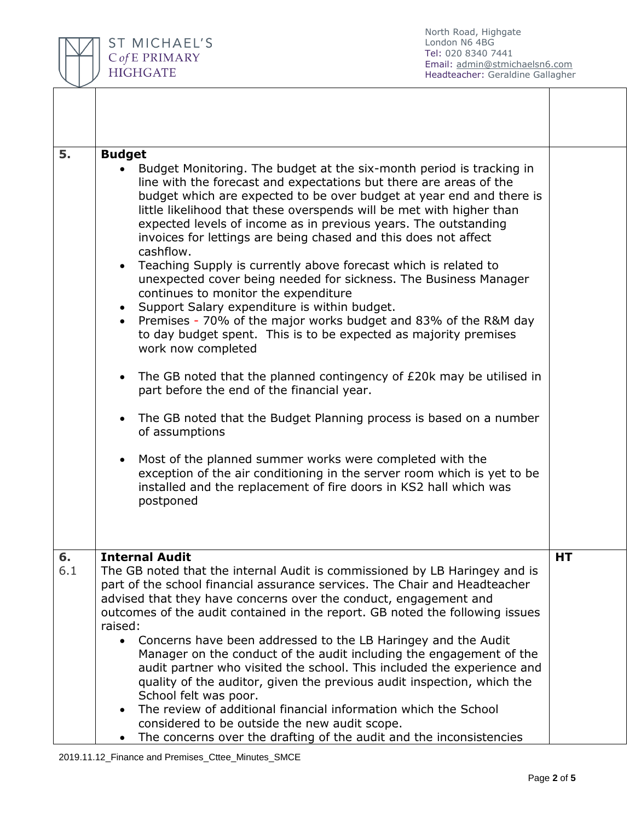

| 5.  | <b>Budget</b>                                                                                                                                                                                                                                                                                                                                                                                                                                                                                                                                                                                                                                                                                                                                                                                                                                            |    |
|-----|----------------------------------------------------------------------------------------------------------------------------------------------------------------------------------------------------------------------------------------------------------------------------------------------------------------------------------------------------------------------------------------------------------------------------------------------------------------------------------------------------------------------------------------------------------------------------------------------------------------------------------------------------------------------------------------------------------------------------------------------------------------------------------------------------------------------------------------------------------|----|
|     | Budget Monitoring. The budget at the six-month period is tracking in<br>line with the forecast and expectations but there are areas of the<br>budget which are expected to be over budget at year end and there is<br>little likelihood that these overspends will be met with higher than<br>expected levels of income as in previous years. The outstanding<br>invoices for lettings are being chased and this does not affect<br>cashflow.<br>Teaching Supply is currently above forecast which is related to<br>unexpected cover being needed for sickness. The Business Manager<br>continues to monitor the expenditure<br>Support Salary expenditure is within budget.<br>$\bullet$<br>• Premises - 70% of the major works budget and 83% of the R&M day<br>to day budget spent. This is to be expected as majority premises<br>work now completed |    |
|     | The GB noted that the planned contingency of £20k may be utilised in<br>part before the end of the financial year.                                                                                                                                                                                                                                                                                                                                                                                                                                                                                                                                                                                                                                                                                                                                       |    |
|     | The GB noted that the Budget Planning process is based on a number<br>of assumptions                                                                                                                                                                                                                                                                                                                                                                                                                                                                                                                                                                                                                                                                                                                                                                     |    |
|     | Most of the planned summer works were completed with the<br>exception of the air conditioning in the server room which is yet to be<br>installed and the replacement of fire doors in KS2 hall which was<br>postponed                                                                                                                                                                                                                                                                                                                                                                                                                                                                                                                                                                                                                                    |    |
| 6.  | <b>Internal Audit</b>                                                                                                                                                                                                                                                                                                                                                                                                                                                                                                                                                                                                                                                                                                                                                                                                                                    | HT |
| 6.1 | The GB noted that the internal Audit is commissioned by LB Haringey and is<br>part of the school financial assurance services. The Chair and Headteacher<br>advised that they have concerns over the conduct, engagement and<br>outcomes of the audit contained in the report. GB noted the following issues<br>raised:<br>Concerns have been addressed to the LB Haringey and the Audit<br>Manager on the conduct of the audit including the engagement of the                                                                                                                                                                                                                                                                                                                                                                                          |    |
|     | audit partner who visited the school. This included the experience and<br>quality of the auditor, given the previous audit inspection, which the<br>School felt was poor.<br>The review of additional financial information which the School                                                                                                                                                                                                                                                                                                                                                                                                                                                                                                                                                                                                             |    |
|     | considered to be outside the new audit scope.<br>The concerns over the drafting of the audit and the inconsistencies                                                                                                                                                                                                                                                                                                                                                                                                                                                                                                                                                                                                                                                                                                                                     |    |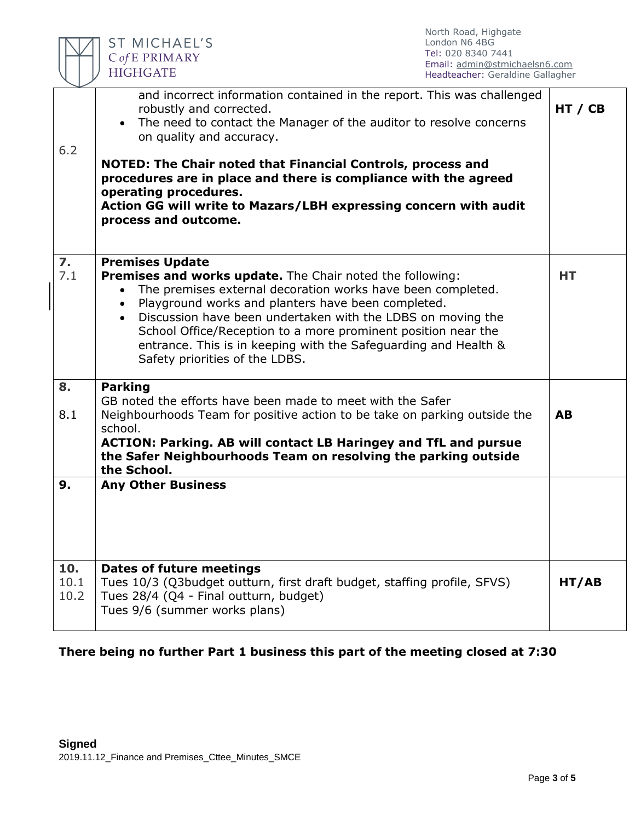|                     | North Road, Highgate<br><b>ST MICHAEL'S</b><br>London N6 4BG<br>Tel: 020 8340 7441<br>C of E PRIMARY<br>Email: admin@stmichaelsn6.com<br><b>HIGHGATE</b><br>Headteacher: Geraldine Gallagher                                                                                                                                                                                                                                                                                   |           |
|---------------------|--------------------------------------------------------------------------------------------------------------------------------------------------------------------------------------------------------------------------------------------------------------------------------------------------------------------------------------------------------------------------------------------------------------------------------------------------------------------------------|-----------|
| 6.2                 | and incorrect information contained in the report. This was challenged<br>robustly and corrected.<br>• The need to contact the Manager of the auditor to resolve concerns<br>on quality and accuracy.<br><b>NOTED: The Chair noted that Financial Controls, process and</b>                                                                                                                                                                                                    | HT / CB   |
|                     | procedures are in place and there is compliance with the agreed<br>operating procedures.<br>Action GG will write to Mazars/LBH expressing concern with audit<br>process and outcome.                                                                                                                                                                                                                                                                                           |           |
| 7.<br>7.1           | <b>Premises Update</b><br><b>Premises and works update.</b> The Chair noted the following:<br>The premises external decoration works have been completed.<br>$\bullet$<br>Playground works and planters have been completed.<br>$\bullet$<br>Discussion have been undertaken with the LDBS on moving the<br>School Office/Reception to a more prominent position near the<br>entrance. This is in keeping with the Safeguarding and Health &<br>Safety priorities of the LDBS. | HТ        |
| 8.<br>8.1           | <b>Parking</b><br>GB noted the efforts have been made to meet with the Safer<br>Neighbourhoods Team for positive action to be take on parking outside the<br>school.<br><b>ACTION: Parking. AB will contact LB Haringey and TfL and pursue</b><br>the Safer Neighbourhoods Team on resolving the parking outside<br>the School.                                                                                                                                                | <b>AB</b> |
| 9.                  | <b>Any Other Business</b>                                                                                                                                                                                                                                                                                                                                                                                                                                                      |           |
| 10.<br>10.1<br>10.2 | <b>Dates of future meetings</b><br>Tues 10/3 (Q3budget outturn, first draft budget, staffing profile, SFVS)<br>Tues 28/4 (Q4 - Final outturn, budget)<br>Tues 9/6 (summer works plans)                                                                                                                                                                                                                                                                                         | HT/AB     |

North Road, Highgate

## **There being no further Part 1 business this part of the meeting closed at 7:30**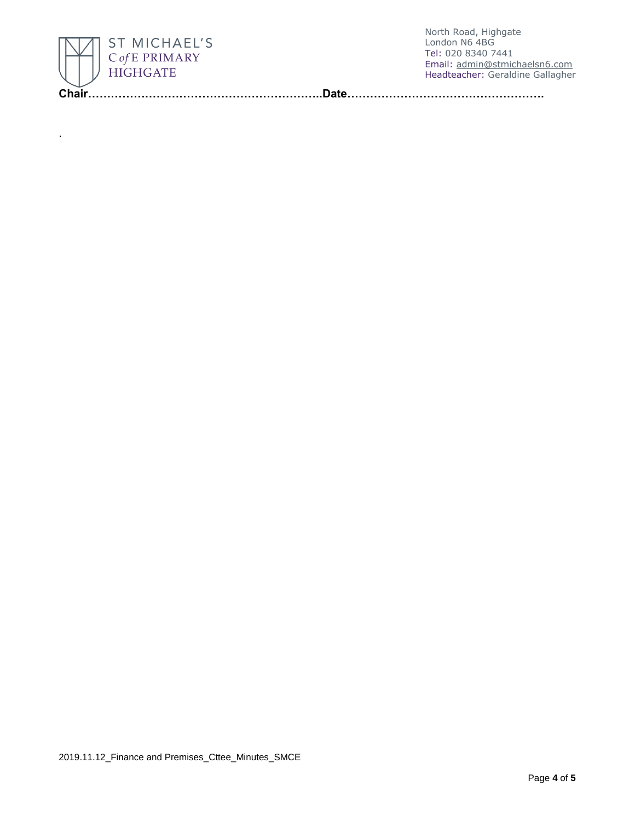

.

North Road, Highgate London N6 4BG Tel: 020 8340 7441 Email: [admin@stmichaelsn6.com](mailto:admin@stmichaelsn6.com) Headteacher: Geraldine Gallagher